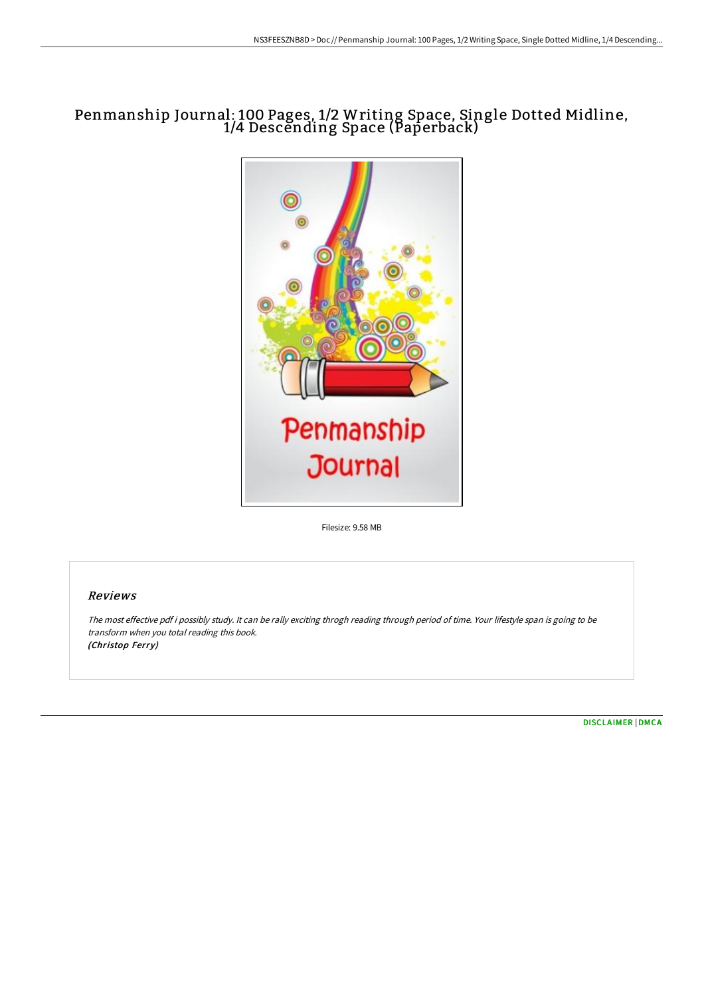# Penmanship Journal: 100 Pages, 1/2 Writing Space, Single Dotted Midline, 1/4 Descending Space (Paperback)



Filesize: 9.58 MB

## Reviews

The most effective pdf i possibly study. It can be rally exciting throgh reading through period of time. Your lifestyle span is going to be transform when you total reading this book. (Christop Ferry)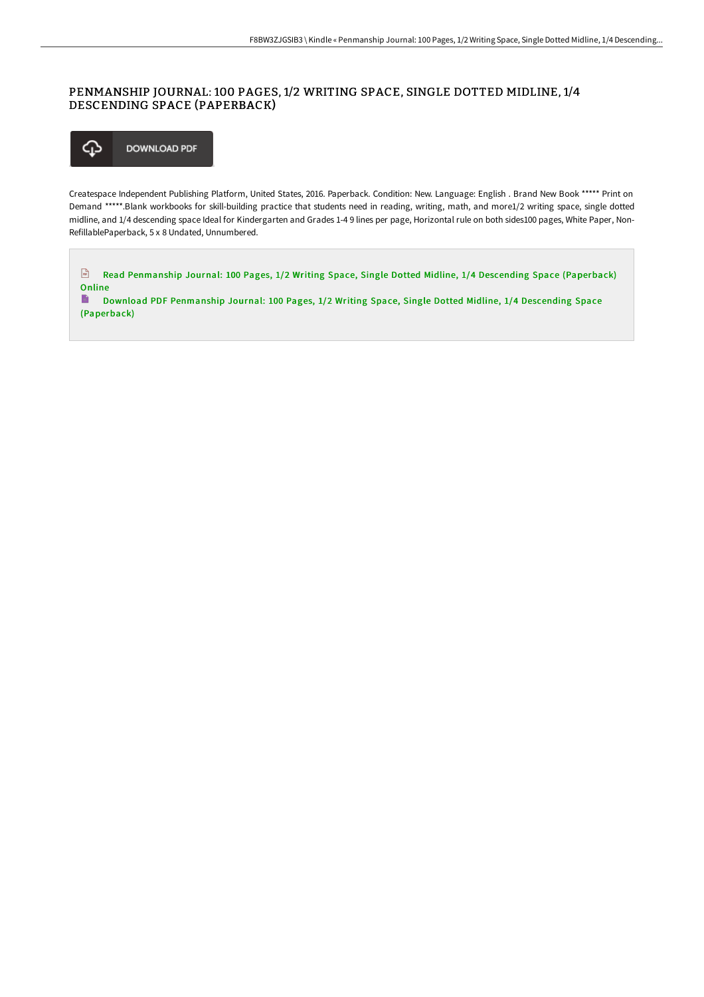## PENMANSHIP JOURNAL: 100 PAGES, 1/2 WRITING SPACE, SINGLE DOTTED MIDLINE, 1/4 DESCENDING SPACE (PAPERBACK)



Createspace Independent Publishing Platform, United States, 2016. Paperback. Condition: New. Language: English . Brand New Book \*\*\*\*\* Print on Demand \*\*\*\*\*.Blank workbooks for skill-building practice that students need in reading, writing, math, and more1/2 writing space, single dotted midline, and 1/4 descending space Ideal for Kindergarten and Grades 1-4 9 lines per page, Horizontal rule on both sides100 pages, White Paper, Non-RefillablePaperback, 5 x 8 Undated, Unnumbered.

 $\sqrt{\frac{1}{n}}$ Read [Penmanship](http://www.bookdirs.com/penmanship-journal-100-pages-1-x2f-2-writing-spa.html) Journal: 100 Pages, 1/2 Writing Space, Single Dotted Midline, 1/4 Descending Space (Paperback) Online

 $\blacksquare$ Download PDF [Penmanship](http://www.bookdirs.com/penmanship-journal-100-pages-1-x2f-2-writing-spa.html) Journal: 100 Pages, 1/2 Writing Space, Single Dotted Midline, 1/4 Descending Space (Paperback)